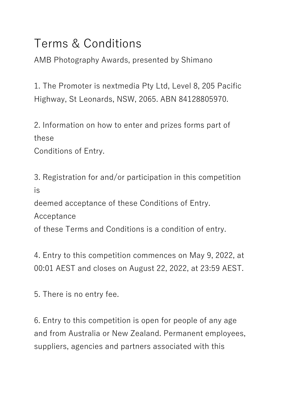## Terms & Conditions

AMB Photography Awards, presented by Shimano

1. The Promoter is nextmedia Pty Ltd, Level 8, 205 Pacific Highway, St Leonards, NSW, 2065. ABN 84128805970.

2. Information on how to enter and prizes forms part of these

Conditions of Entry.

3. Registration for and/or participation in this competition is

deemed acceptance of these Conditions of Entry.

Acceptance

of these Terms and Conditions is a condition of entry.

4. Entry to this competition commences on May 9, 2022, at 00:01 AEST and closes on August 22, 2022, at 23:59 AEST.

5. There is no entry fee.

6. Entry to this competition is open for people of any age and from Australia or New Zealand. Permanent employees, suppliers, agencies and partners associated with this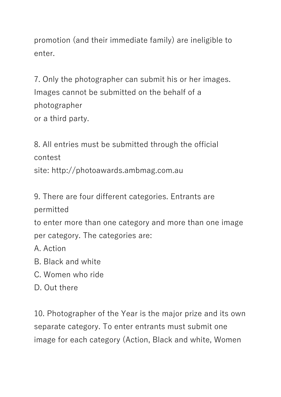promotion (and their immediate family) are ineligible to enter.

7. Only the photographer can submit his or her images. Images cannot be submitted on the behalf of a photographer or a third party.

8. All entries must be submitted through the official contest site: http://photoawards.ambmag.com.au

9. There are four different categories. Entrants are permitted

to enter more than one category and more than one image per category. The categories are:

A. Action

B. Black and white

C. Women who ride

D. Out there

10. Photographer of the Year is the major prize and its own separate category. To enter entrants must submit one image for each category (Action, Black and white, Women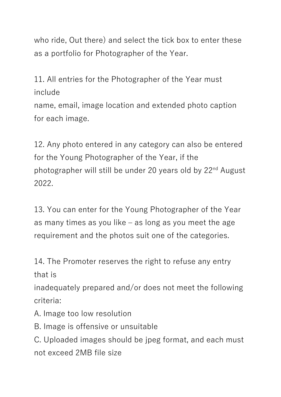who ride, Out there) and select the tick box to enter these as a portfolio for Photographer of the Year.

11. All entries for the Photographer of the Year must include name, email, image location and extended photo caption

for each image.

12. Any photo entered in any category can also be entered for the Young Photographer of the Year, if the photographer will still be under 20 years old by 22<sup>nd</sup> August 2022.

13. You can enter for the Young Photographer of the Year as many times as you like – as long as you meet the age requirement and the photos suit one of the categories.

14. The Promoter reserves the right to refuse any entry that is

inadequately prepared and/or does not meet the following criteria:

A. Image too low resolution

B. Image is offensive or unsuitable

C. Uploaded images should be jpeg format, and each must not exceed 2MB file size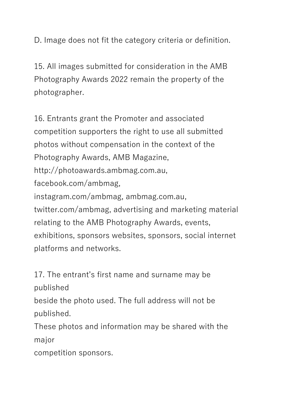D. Image does not fit the category criteria or definition.

15. All images submitted for consideration in the AMB Photography Awards 2022 remain the property of the photographer.

16. Entrants grant the Promoter and associated competition supporters the right to use all submitted photos without compensation in the context of the Photography Awards, AMB Magazine, http://photoawards.ambmag.com.au, facebook.com/ambmag, instagram.com/ambmag, ambmag.com.au, twitter.com/ambmag, advertising and marketing material relating to the AMB Photography Awards, events, exhibitions, sponsors websites, sponsors, social internet platforms and networks.

17. The entrant's first name and surname may be published

beside the photo used. The full address will not be published.

These photos and information may be shared with the major

competition sponsors.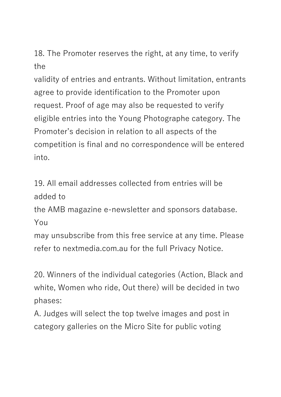18. The Promoter reserves the right, at any time, to verify the

validity of entries and entrants. Without limitation, entrants agree to provide identification to the Promoter upon request. Proof of age may also be requested to verify eligible entries into the Young Photographe category. The Promoter's decision in relation to all aspects of the competition is final and no correspondence will be entered into.

19. All email addresses collected from entries will be added to

the AMB magazine e-newsletter and sponsors database. You

may unsubscribe from this free service at any time. Please refer to nextmedia.com.au for the full Privacy Notice.

20. Winners of the individual categories (Action, Black and white, Women who ride, Out there) will be decided in two phases:

A. Judges will select the top twelve images and post in category galleries on the Micro Site for public voting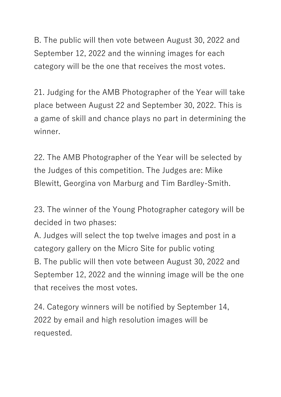B. The public will then vote between August 30, 2022 and September 12, 2022 and the winning images for each category will be the one that receives the most votes.

21. Judging for the AMB Photographer of the Year will take place between August 22 and September 30, 2022. This is a game of skill and chance plays no part in determining the winner.

22. The AMB Photographer of the Year will be selected by the Judges of this competition. The Judges are: Mike Blewitt, Georgina von Marburg and Tim Bardley-Smith.

23. The winner of the Young Photographer category will be decided in two phases:

A. Judges will select the top twelve images and post in a category gallery on the Micro Site for public voting B. The public will then vote between August 30, 2022 and September 12, 2022 and the winning image will be the one that receives the most votes.

24. Category winners will be notified by September 14, 2022 by email and high resolution images will be requested.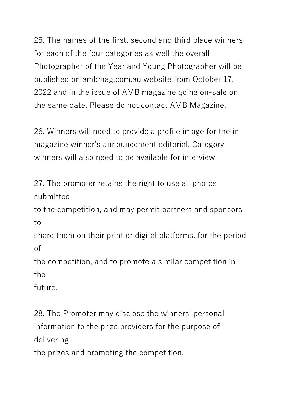25. The names of the first, second and third place winners for each of the four categories as well the overall Photographer of the Year and Young Photographer will be published on ambmag.com.au website from October 17, 2022 and in the issue of AMB magazine going on-sale on the same date. Please do not contact AMB Magazine.

26. Winners will need to provide a profile image for the inmagazine winner's announcement editorial. Category winners will also need to be available for interview.

27. The promoter retains the right to use all photos submitted

to the competition, and may permit partners and sponsors to

share them on their print or digital platforms, for the period of

the competition, and to promote a similar competition in the

future.

28. The Promoter may disclose the winners' personal information to the prize providers for the purpose of delivering

the prizes and promoting the competition.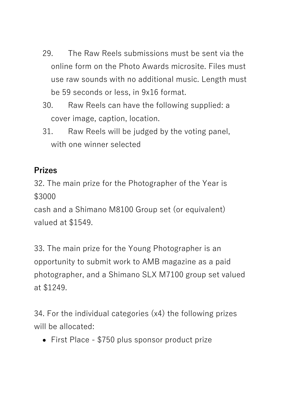- 29. The Raw Reels submissions must be sent via the online form on the Photo Awards microsite. Files must use raw sounds with no additional music. Length must be 59 seconds or less, in 9x16 format.
- 30. Raw Reels can have the following supplied: a cover image, caption, location.
- 31. Raw Reels will be judged by the voting panel, with one winner selected

## **Prizes**

32. The main prize for the Photographer of the Year is \$3000

cash and a Shimano M8100 Group set (or equivalent) valued at \$1549.

33. The main prize for the Young Photographer is an opportunity to submit work to AMB magazine as a paid photographer, and a Shimano SLX M7100 group set valued at \$1249.

34. For the individual categories (x4) the following prizes will be allocated:

• First Place - \$750 plus sponsor product prize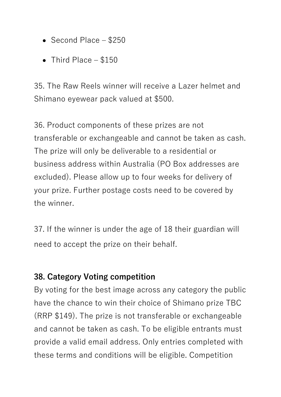- Second Place \$250
- Third Place \$150

35. The Raw Reels winner will receive a Lazer helmet and Shimano eyewear pack valued at \$500.

36. Product components of these prizes are not transferable or exchangeable and cannot be taken as cash. The prize will only be deliverable to a residential or business address within Australia (PO Box addresses are excluded). Please allow up to four weeks for delivery of your prize. Further postage costs need to be covered by the winner.

37. If the winner is under the age of 18 their guardian will need to accept the prize on their behalf.

## **38. Category Voting competition**

By voting for the best image across any category the public have the chance to win their choice of Shimano prize TBC (RRP \$149). The prize is not transferable or exchangeable and cannot be taken as cash. To be eligible entrants must provide a valid email address. Only entries completed with these terms and conditions will be eligible. Competition